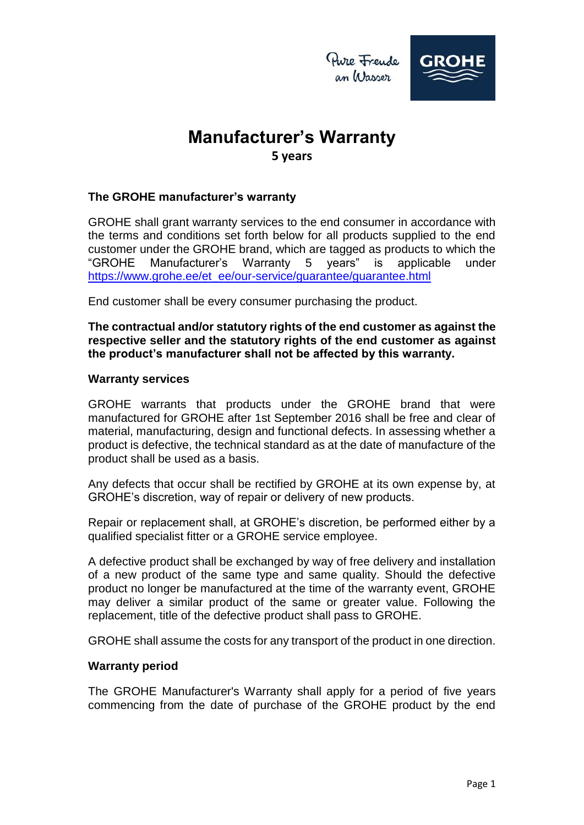

## **Manufacturer's Warranty 5 years**

### **The GROHE manufacturer's warranty**

GROHE shall grant warranty services to the end consumer in accordance with the terms and conditions set forth below for all products supplied to the end customer under the GROHE brand, which are tagged as products to which the "GROHE Manufacturer's Warranty 5 years" is applicable under [https://www.grohe.ee/et\\_ee/our-service/guarantee/guarantee.html](https://www.grohe.ee/et_ee/our-service/guarantee/guarantee.html)

End customer shall be every consumer purchasing the product.

**The contractual and/or statutory rights of the end customer as against the respective seller and the statutory rights of the end customer as against the product's manufacturer shall not be affected by this warranty.**

#### **Warranty services**

GROHE warrants that products under the GROHE brand that were manufactured for GROHE after 1st September 2016 shall be free and clear of material, manufacturing, design and functional defects. In assessing whether a product is defective, the technical standard as at the date of manufacture of the product shall be used as a basis.

Any defects that occur shall be rectified by GROHE at its own expense by, at GROHE's discretion, way of repair or delivery of new products.

Repair or replacement shall, at GROHE's discretion, be performed either by a qualified specialist fitter or a GROHE service employee.

A defective product shall be exchanged by way of free delivery and installation of a new product of the same type and same quality. Should the defective product no longer be manufactured at the time of the warranty event, GROHE may deliver a similar product of the same or greater value. Following the replacement, title of the defective product shall pass to GROHE.

GROHE shall assume the costs for any transport of the product in one direction.

#### **Warranty period**

The GROHE Manufacturer's Warranty shall apply for a period of five years commencing from the date of purchase of the GROHE product by the end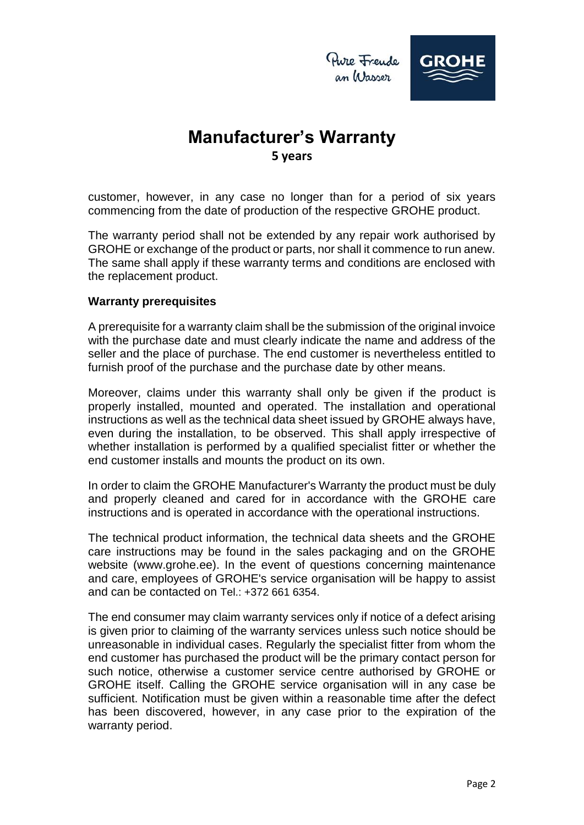

# **Manufacturer's Warranty 5 years**

customer, however, in any case no longer than for a period of six years commencing from the date of production of the respective GROHE product.

The warranty period shall not be extended by any repair work authorised by GROHE or exchange of the product or parts, nor shall it commence to run anew. The same shall apply if these warranty terms and conditions are enclosed with the replacement product.

### **Warranty prerequisites**

A prerequisite for a warranty claim shall be the submission of the original invoice with the purchase date and must clearly indicate the name and address of the seller and the place of purchase. The end customer is nevertheless entitled to furnish proof of the purchase and the purchase date by other means.

Moreover, claims under this warranty shall only be given if the product is properly installed, mounted and operated. The installation and operational instructions as well as the technical data sheet issued by GROHE always have, even during the installation, to be observed. This shall apply irrespective of whether installation is performed by a qualified specialist fitter or whether the end customer installs and mounts the product on its own.

In order to claim the GROHE Manufacturer's Warranty the product must be duly and properly cleaned and cared for in accordance with the GROHE care instructions and is operated in accordance with the operational instructions.

The technical product information, the technical data sheets and the GROHE care instructions may be found in the sales packaging and on the GROHE website (www.grohe.ee). In the event of questions concerning maintenance and care, employees of GROHE's service organisation will be happy to assist and can be contacted on Tel:  $+372$  661 6354.

The end consumer may claim warranty services only if notice of a defect arising is given prior to claiming of the warranty services unless such notice should be unreasonable in individual cases. Regularly the specialist fitter from whom the end customer has purchased the product will be the primary contact person for such notice, otherwise a customer service centre authorised by GROHE or GROHE itself. Calling the GROHE service organisation will in any case be sufficient. Notification must be given within a reasonable time after the defect has been discovered, however, in any case prior to the expiration of the warranty period.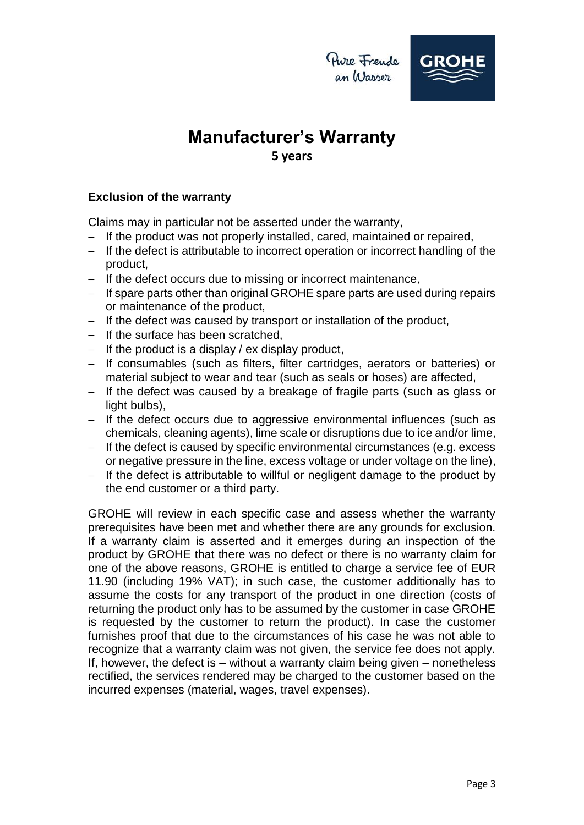Pure Frende an Wasser



## **Manufacturer's Warranty 5 years**

### **Exclusion of the warranty**

Claims may in particular not be asserted under the warranty,

- $-I$  If the product was not properly installed, cared, maintained or repaired,
- $-I$  If the defect is attributable to incorrect operation or incorrect handling of the product,
- $-I$  If the defect occurs due to missing or incorrect maintenance,
- $-I$  If spare parts other than original GROHE spare parts are used during repairs or maintenance of the product,
- $-I$  If the defect was caused by transport or installation of the product,
- $-$  If the surface has been scratched.
- $-I$  If the product is a display / ex display product,
- If consumables (such as filters, filter cartridges, aerators or batteries) or material subject to wear and tear (such as seals or hoses) are affected,
- $-$  If the defect was caused by a breakage of fragile parts (such as glass or light bulbs),
- $-$  If the defect occurs due to aggressive environmental influences (such as chemicals, cleaning agents), lime scale or disruptions due to ice and/or lime,
- If the defect is caused by specific environmental circumstances (e.g. excess or negative pressure in the line, excess voltage or under voltage on the line),
- $-I$  If the defect is attributable to willful or negligent damage to the product by the end customer or a third party.

GROHE will review in each specific case and assess whether the warranty prerequisites have been met and whether there are any grounds for exclusion. If a warranty claim is asserted and it emerges during an inspection of the product by GROHE that there was no defect or there is no warranty claim for one of the above reasons, GROHE is entitled to charge a service fee of EUR 11.90 (including 19% VAT); in such case, the customer additionally has to assume the costs for any transport of the product in one direction (costs of returning the product only has to be assumed by the customer in case GROHE is requested by the customer to return the product). In case the customer furnishes proof that due to the circumstances of his case he was not able to recognize that a warranty claim was not given, the service fee does not apply. If, however, the defect is – without a warranty claim being given – nonetheless rectified, the services rendered may be charged to the customer based on the incurred expenses (material, wages, travel expenses).